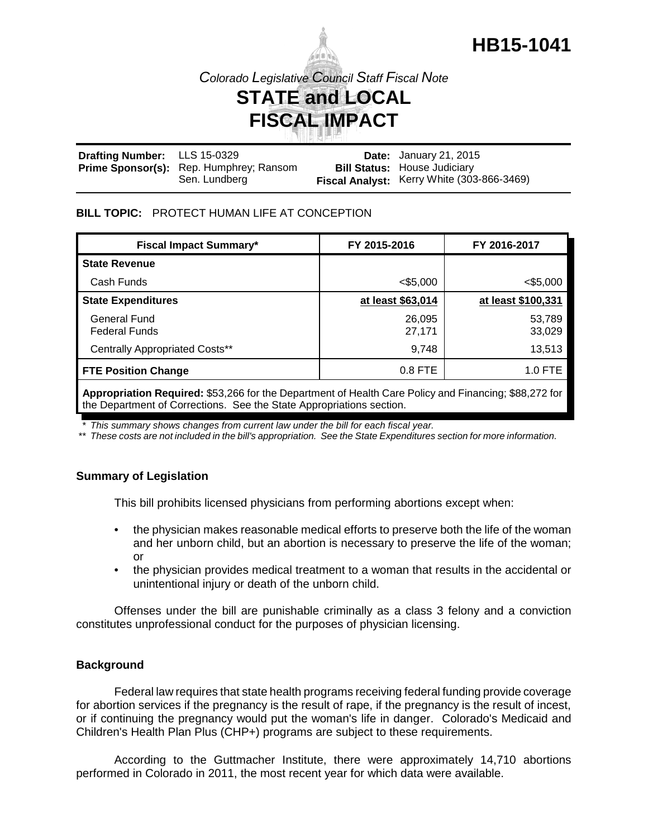

*Colorado Legislative Council Staff Fiscal Note*

# **STATE and LOCAL FISCAL IMPACT**

| Drafting Number: LLS 15-0329 |                                         | <b>Date:</b> January 21, 2015              |
|------------------------------|-----------------------------------------|--------------------------------------------|
|                              | Prime Sponsor(s): Rep. Humphrey; Ransom | <b>Bill Status: House Judiciary</b>        |
|                              | Sen. Lundberg                           | Fiscal Analyst: Kerry White (303-866-3469) |

## **BILL TOPIC:** PROTECT HUMAN LIFE AT CONCEPTION

| FY 2015-2016      | FY 2016-2017       |
|-------------------|--------------------|
|                   |                    |
| $<$ \$5,000       | $<$ \$5,000        |
| at least \$63,014 | at least \$100,331 |
| 26,095<br>27,171  | 53,789<br>33,029   |
| 9,748             | 13,513             |
| $0.8$ FTE         | $1.0$ FTE          |
|                   |                    |

**Appropriation Required:** \$53,266 for the Department of Health Care Policy and Financing; \$88,272 for the Department of Corrections. See the State Appropriations section.

*\* This summary shows changes from current law under the bill for each fiscal year.* 

*\*\* These costs are not included in the bill's appropriation. See the State Expenditures section for more information.*

# **Summary of Legislation**

This bill prohibits licensed physicians from performing abortions except when:

- the physician makes reasonable medical efforts to preserve both the life of the woman and her unborn child, but an abortion is necessary to preserve the life of the woman; or
- the physician provides medical treatment to a woman that results in the accidental or unintentional injury or death of the unborn child.

Offenses under the bill are punishable criminally as a class 3 felony and a conviction constitutes unprofessional conduct for the purposes of physician licensing.

## **Background**

Federal law requires that state health programs receiving federal funding provide coverage for abortion services if the pregnancy is the result of rape, if the pregnancy is the result of incest, or if continuing the pregnancy would put the woman's life in danger. Colorado's Medicaid and Children's Health Plan Plus (CHP+) programs are subject to these requirements.

According to the Guttmacher Institute, there were approximately 14,710 abortions performed in Colorado in 2011, the most recent year for which data were available.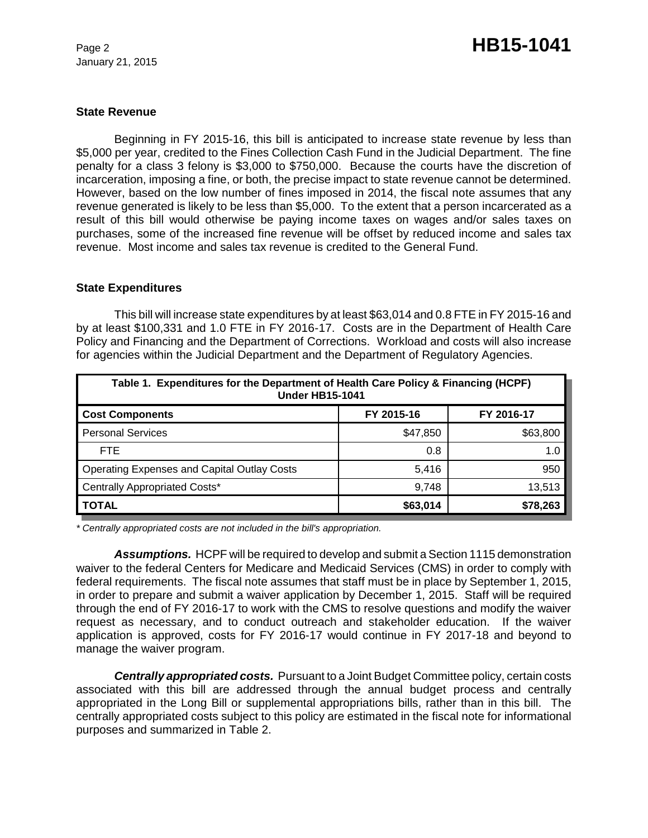January 21, 2015

#### **State Revenue**

Beginning in FY 2015-16, this bill is anticipated to increase state revenue by less than \$5,000 per year, credited to the Fines Collection Cash Fund in the Judicial Department. The fine penalty for a class 3 felony is \$3,000 to \$750,000. Because the courts have the discretion of incarceration, imposing a fine, or both, the precise impact to state revenue cannot be determined. However, based on the low number of fines imposed in 2014, the fiscal note assumes that any revenue generated is likely to be less than \$5,000. To the extent that a person incarcerated as a result of this bill would otherwise be paying income taxes on wages and/or sales taxes on purchases, some of the increased fine revenue will be offset by reduced income and sales tax revenue. Most income and sales tax revenue is credited to the General Fund.

#### **State Expenditures**

This bill will increase state expenditures by at least \$63,014 and 0.8 FTE in FY 2015-16 and by at least \$100,331 and 1.0 FTE in FY 2016-17. Costs are in the Department of Health Care Policy and Financing and the Department of Corrections. Workload and costs will also increase for agencies within the Judicial Department and the Department of Regulatory Agencies.

| Table 1. Expenditures for the Department of Health Care Policy & Financing (HCPF)<br><b>Under HB15-1041</b> |            |            |  |  |  |
|-------------------------------------------------------------------------------------------------------------|------------|------------|--|--|--|
| <b>Cost Components</b>                                                                                      | FY 2015-16 | FY 2016-17 |  |  |  |
| <b>Personal Services</b>                                                                                    | \$47,850   | \$63,800   |  |  |  |
| FTE.                                                                                                        | 0.8        | 1.0        |  |  |  |
| <b>Operating Expenses and Capital Outlay Costs</b>                                                          | 5,416      | 950        |  |  |  |
| <b>Centrally Appropriated Costs*</b>                                                                        | 9,748      | 13,513     |  |  |  |
| <b>TOTAL</b>                                                                                                | \$63,014   | \$78,263   |  |  |  |

*\* Centrally appropriated costs are not included in the bill's appropriation.*

*Assumptions.* HCPF will be required to develop and submit a Section 1115 demonstration waiver to the federal Centers for Medicare and Medicaid Services (CMS) in order to comply with federal requirements. The fiscal note assumes that staff must be in place by September 1, 2015, in order to prepare and submit a waiver application by December 1, 2015. Staff will be required through the end of FY 2016-17 to work with the CMS to resolve questions and modify the waiver request as necessary, and to conduct outreach and stakeholder education. If the waiver application is approved, costs for FY 2016-17 would continue in FY 2017-18 and beyond to manage the waiver program.

*Centrally appropriated costs.* Pursuant to a Joint Budget Committee policy, certain costs associated with this bill are addressed through the annual budget process and centrally appropriated in the Long Bill or supplemental appropriations bills, rather than in this bill. The centrally appropriated costs subject to this policy are estimated in the fiscal note for informational purposes and summarized in Table 2.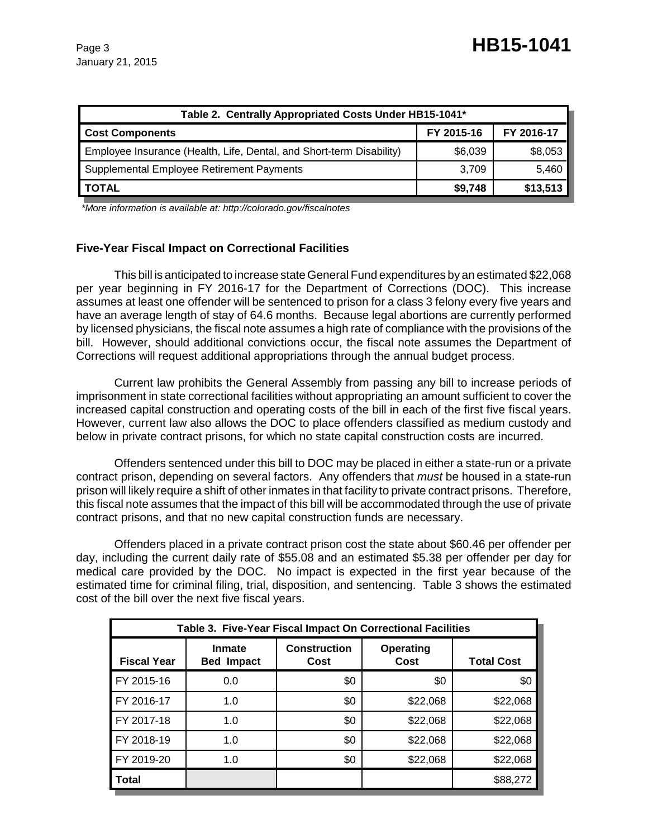| Table 2. Centrally Appropriated Costs Under HB15-1041*               |            |            |  |  |
|----------------------------------------------------------------------|------------|------------|--|--|
| <b>Cost Components</b>                                               | FY 2015-16 | FY 2016-17 |  |  |
| Employee Insurance (Health, Life, Dental, and Short-term Disability) | \$6,039    | \$8,053    |  |  |
| Supplemental Employee Retirement Payments                            | 3,709      | 5,460      |  |  |
| <b>TOTAL</b>                                                         | \$9,748    | \$13,513   |  |  |

 *\*More information is available at: http://colorado.gov/fiscalnotes*

## **Five-Year Fiscal Impact on Correctional Facilities**

This bill is anticipated to increase state General Fund expenditures by an estimated \$22,068 per year beginning in FY 2016-17 for the Department of Corrections (DOC). This increase assumes at least one offender will be sentenced to prison for a class 3 felony every five years and have an average length of stay of 64.6 months. Because legal abortions are currently performed by licensed physicians, the fiscal note assumes a high rate of compliance with the provisions of the bill. However, should additional convictions occur, the fiscal note assumes the Department of Corrections will request additional appropriations through the annual budget process.

Current law prohibits the General Assembly from passing any bill to increase periods of imprisonment in state correctional facilities without appropriating an amount sufficient to cover the increased capital construction and operating costs of the bill in each of the first five fiscal years. However, current law also allows the DOC to place offenders classified as medium custody and below in private contract prisons, for which no state capital construction costs are incurred.

Offenders sentenced under this bill to DOC may be placed in either a state-run or a private contract prison, depending on several factors. Any offenders that *must* be housed in a state-run prison will likely require a shift of other inmates in that facility to private contract prisons. Therefore, this fiscal note assumes that the impact of this bill will be accommodated through the use of private contract prisons, and that no new capital construction funds are necessary.

Offenders placed in a private contract prison cost the state about \$60.46 per offender per day, including the current daily rate of \$55.08 and an estimated \$5.38 per offender per day for medical care provided by the DOC. No impact is expected in the first year because of the estimated time for criminal filing, trial, disposition, and sentencing. Table 3 shows the estimated cost of the bill over the next five fiscal years.

| Table 3. Five-Year Fiscal Impact On Correctional Facilities |                                    |                             |                   |                   |  |
|-------------------------------------------------------------|------------------------------------|-----------------------------|-------------------|-------------------|--|
| <b>Fiscal Year</b>                                          | <b>Inmate</b><br><b>Bed Impact</b> | <b>Construction</b><br>Cost | Operating<br>Cost | <b>Total Cost</b> |  |
| FY 2015-16                                                  | 0.0                                | \$0                         | \$0               | \$0               |  |
| FY 2016-17                                                  | 1.0                                | \$0                         | \$22,068          | \$22,068          |  |
| FY 2017-18                                                  | 1.0                                | \$0                         | \$22,068          | \$22,068          |  |
| FY 2018-19                                                  | 1.0                                | \$0                         | \$22,068          | \$22,068          |  |
| FY 2019-20                                                  | 1.0                                | \$0                         | \$22,068          | \$22,068          |  |
| <b>Total</b>                                                |                                    |                             |                   | \$88,272          |  |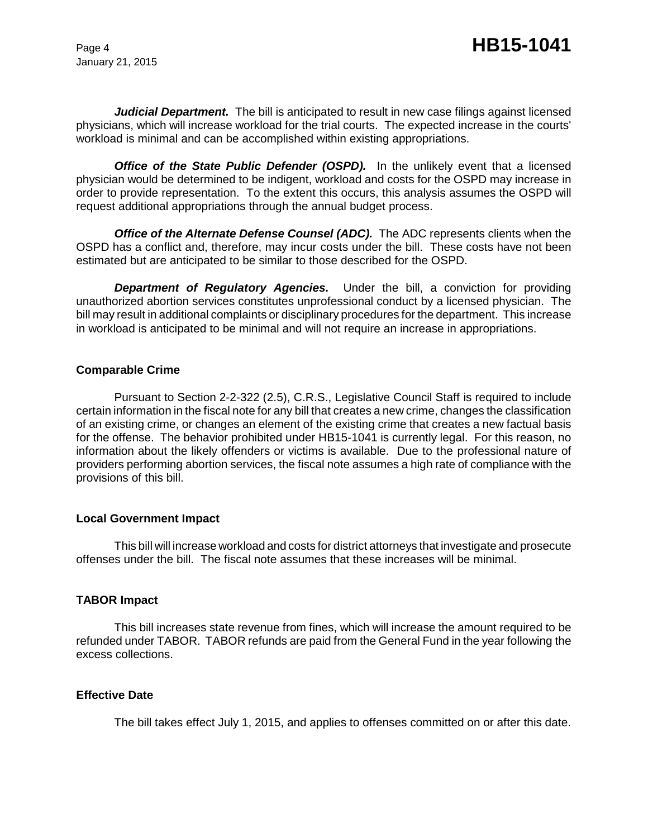January 21, 2015

Judicial Department. The bill is anticipated to result in new case filings against licensed physicians, which will increase workload for the trial courts. The expected increase in the courts' workload is minimal and can be accomplished within existing appropriations.

**Office of the State Public Defender (OSPD).** In the unlikely event that a licensed physician would be determined to be indigent, workload and costs for the OSPD may increase in order to provide representation. To the extent this occurs, this analysis assumes the OSPD will request additional appropriations through the annual budget process.

*Office of the Alternate Defense Counsel (ADC).* The ADC represents clients when the OSPD has a conflict and, therefore, may incur costs under the bill. These costs have not been estimated but are anticipated to be similar to those described for the OSPD.

*Department of Regulatory Agencies.* Under the bill, a conviction for providing unauthorized abortion services constitutes unprofessional conduct by a licensed physician. The bill may result in additional complaints or disciplinary procedures for the department. This increase in workload is anticipated to be minimal and will not require an increase in appropriations.

## **Comparable Crime**

Pursuant to Section 2-2-322 (2.5), C.R.S., Legislative Council Staff is required to include certain information in the fiscal note for any bill that creates a new crime, changes the classification of an existing crime, or changes an element of the existing crime that creates a new factual basis for the offense. The behavior prohibited under HB15-1041 is currently legal. For this reason, no information about the likely offenders or victims is available. Due to the professional nature of providers performing abortion services, the fiscal note assumes a high rate of compliance with the provisions of this bill.

## **Local Government Impact**

This bill will increase workload and costs for district attorneys that investigate and prosecute offenses under the bill. The fiscal note assumes that these increases will be minimal.

# **TABOR Impact**

This bill increases state revenue from fines, which will increase the amount required to be refunded under TABOR. TABOR refunds are paid from the General Fund in the year following the excess collections.

## **Effective Date**

The bill takes effect July 1, 2015, and applies to offenses committed on or after this date.